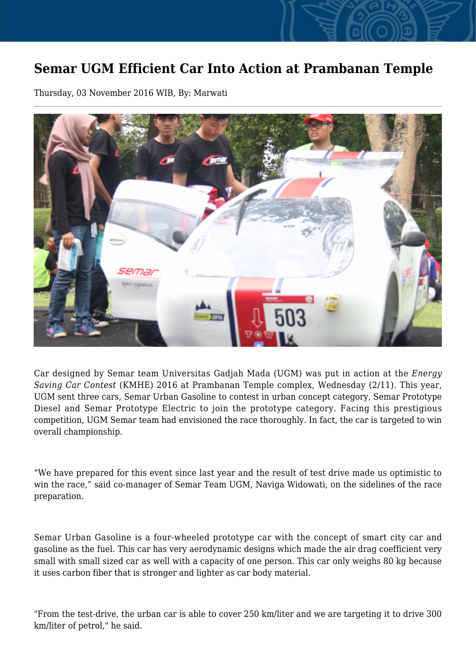## **Semar UGM Efficient Car Into Action at Prambanan Temple**

Thursday, 03 November 2016 WIB, By: Marwati



Car designed by Semar team Universitas Gadjah Mada (UGM) was put in action at the *Energy Saving Car Contest* (KMHE) 2016 at Prambanan Temple complex, Wednesday (2/11). This year, UGM sent three cars, Semar Urban Gasoline to contest in urban concept category, Semar Prototype Diesel and Semar Prototype Electric to join the prototype category. Facing this prestigious competition, UGM Semar team had envisioned the race thoroughly. In fact, the car is targeted to win overall championship.

"We have prepared for this event since last year and the result of test drive made us optimistic to win the race," said co-manager of Semar Team UGM, Naviga Widowati, on the sidelines of the race preparation.

Semar Urban Gasoline is a four-wheeled prototype car with the concept of smart city car and gasoline as the fuel. This car has very aerodynamic designs which made the air drag coefficient very small with small sized car as well with a capacity of one person. This car only weighs 80 kg because it uses carbon fiber that is stronger and lighter as car body material.

"From the test-drive, the urban car is able to cover 250 km/liter and we are targeting it to drive 300 km/liter of petrol," he said.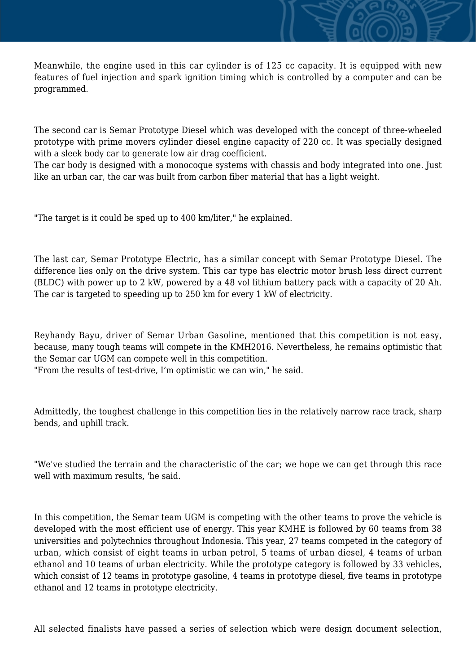Meanwhile, the engine used in this car cylinder is of 125 cc capacity. It is equipped with new features of fuel injection and spark ignition timing which is controlled by a computer and can be programmed.

The second car is Semar Prototype Diesel which was developed with the concept of three-wheeled prototype with prime movers cylinder diesel engine capacity of 220 cc. It was specially designed with a sleek body car to generate low air drag coefficient.

The car body is designed with a monocoque systems with chassis and body integrated into one. Just like an urban car, the car was built from carbon fiber material that has a light weight.

"The target is it could be sped up to 400 km/liter," he explained.

The last car, Semar Prototype Electric, has a similar concept with Semar Prototype Diesel. The difference lies only on the drive system. This car type has electric motor brush less direct current (BLDC) with power up to 2 kW, powered by a 48 vol lithium battery pack with a capacity of 20 Ah. The car is targeted to speeding up to 250 km for every 1 kW of electricity.

Reyhandy Bayu, driver of Semar Urban Gasoline, mentioned that this competition is not easy, because, many tough teams will compete in the KMH2016. Nevertheless, he remains optimistic that the Semar car UGM can compete well in this competition.

"From the results of test-drive, I'm optimistic we can win," he said.

Admittedly, the toughest challenge in this competition lies in the relatively narrow race track, sharp bends, and uphill track.

"We've studied the terrain and the characteristic of the car; we hope we can get through this race well with maximum results, 'he said.

In this competition, the Semar team UGM is competing with the other teams to prove the vehicle is developed with the most efficient use of energy. This year KMHE is followed by 60 teams from 38 universities and polytechnics throughout Indonesia. This year, 27 teams competed in the category of urban, which consist of eight teams in urban petrol, 5 teams of urban diesel, 4 teams of urban ethanol and 10 teams of urban electricity. While the prototype category is followed by 33 vehicles, which consist of 12 teams in prototype gasoline, 4 teams in prototype diesel, five teams in prototype ethanol and 12 teams in prototype electricity.

All selected finalists have passed a series of selection which were design document selection,